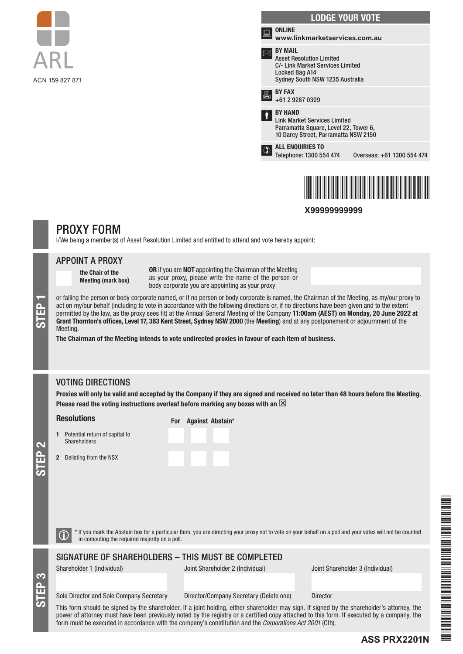



**X99999999999**

# PROXY FORM

I/We being a member(s) of Asset Resolution Limited and entitled to attend and vote hereby appoint:

### APPOINT A PROXY

the Chair of the Meeting (mark box) OR if you are NOT appointing the Chairman of the Meeting as your proxy, please write the name of the person or body corporate you are appointing as your proxy

or failing the person or body corporate named, or if no person or body corporate is named, the Chairman of the Meeting, as my/our proxy to act on my/our behalf (including to vote in accordance with the following directions or, if no directions have been given and to the extent permitted by the law, as the proxy sees fit) at the Annual General Meeting of the Company 11:00am (AEST) on Monday, 20 June 2022 at Grant Thornton's offices, Level 17, 383 Kent Street, Sydney NSW 2000 (the Meeting) and at any postponement or adjournment of the Meeting.

The Chairman of the Meeting intends to vote undirected proxies in favour of each item of business.

# VOTING DIRECTIONS

Proxies will only be valid and accepted by the Company if they are signed and received no later than 48 hours before the Meeting. Please read the voting instructions overleaf before marking any boxes with an  $\boxtimes$ 

#### Resolutions

1 Potential return of capital to **Shareholders** 

2 Delisting from the NSX

|  | For Against Abstain* |  |
|--|----------------------|--|
|  |                      |  |
|  |                      |  |
|  |                      |  |

STEP 2

STEP 3

STEP 1

**the It** you mark the Abstain box for a particular Item, you are directing your proxy not to vote on your behalf on a poll and your votes will not be counted in computing the required majority on a poll.

#### SIGNATURE OF SHAREHOLDERS – THIS MUST BE COMPLETED

Shareholder 1 (Individual) Joint Shareholder 2 (Individual) Joint Shareholder 3 (Individual)

**ASS PRX2201N**

#### Sole Director and Sole Company Secretary Director/Company Secretary (Delete one) Director

This form should be signed by the shareholder. If a joint holding, either shareholder may sign. If signed by the shareholder's attorney, the power of attorney must have been previously noted by the registry or a certified copy attached to this form. If executed by a company, the form must be executed in accordance with the company's constitution and the *Corporations Act 2001* (Cth).